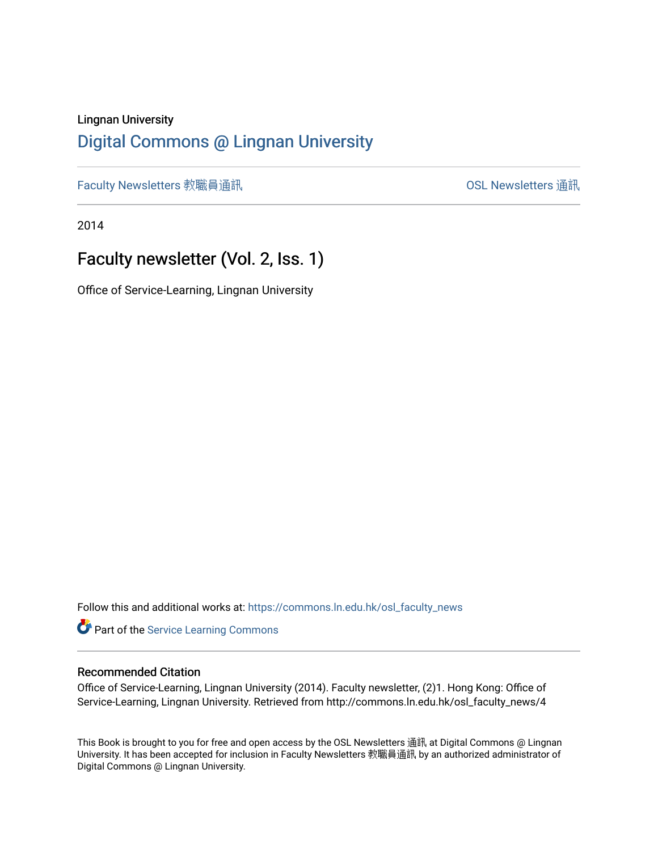## Lingnan University [Digital Commons @ Lingnan University](https://commons.ln.edu.hk/)

[Faculty Newsletters](https://commons.ln.edu.hk/osl_faculty_news) 教職員通訊 [OSL Newsletters](https://commons.ln.edu.hk/osl_news) 通訊

2014

# Faculty newsletter (Vol. 2, Iss. 1)

Office of Service-Learning, Lingnan University

Follow this and additional works at: [https://commons.ln.edu.hk/osl\\_faculty\\_news](https://commons.ln.edu.hk/osl_faculty_news?utm_source=commons.ln.edu.hk%2Fosl_faculty_news%2F4&utm_medium=PDF&utm_campaign=PDFCoverPages) 

Part of the [Service Learning Commons](http://network.bepress.com/hgg/discipline/1024?utm_source=commons.ln.edu.hk%2Fosl_faculty_news%2F4&utm_medium=PDF&utm_campaign=PDFCoverPages)

#### Recommended Citation

Office of Service-Learning, Lingnan University (2014). Faculty newsletter, (2)1. Hong Kong: Office of Service-Learning, Lingnan University. Retrieved from http://commons.ln.edu.hk/osl\_faculty\_news/4

This Book is brought to you for free and open access by the OSL Newsletters 通訊 at Digital Commons @ Lingnan University. It has been accepted for inclusion in Faculty Newsletters 教職員通訊 by an authorized administrator of Digital Commons @ Lingnan University.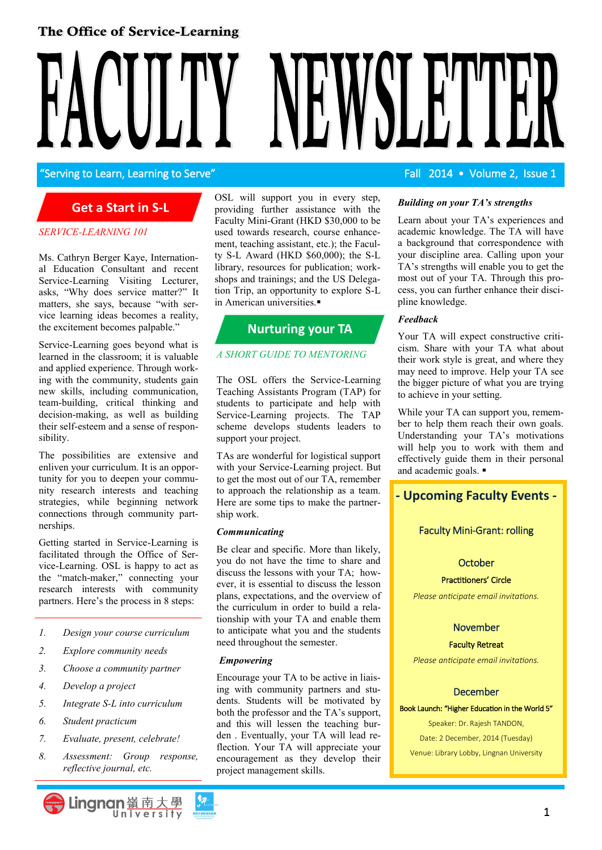## The Office of Service-Learning

"Serving to Learn, Learning to Serve" And The Contract Contract Contract Contract Contract Contract Contract Contract Contract Contract Contract Contract Contract Contract Contract Contract Contract Contract Contract Contr

## **Get a Start in S-L**

#### *SERVICE-LEARNING 101*

Ms. Cathryn Berger Kaye, International Education Consultant and recent Service-Learning Visiting Lecturer, asks, "Why does service matter?" It matters, she says, because "with service learning ideas becomes a reality, the excitement becomes palpable."

Service-Learning goes beyond what is learned in the classroom; it is valuable and applied experience. Through working with the community, students gain new skills, including communication, team-building, critical thinking and decision-making, as well as building their self-esteem and a sense of responsibility.

The possibilities are extensive and enliven your curriculum. It is an opportunity for you to deepen your community research interests and teaching strategies, while beginning network connections through community partnerships.

Getting started in Service-Learning is facilitated through the Office of Service-Learning. OSL is happy to act as the "match-maker," connecting your research interests with community partners. Here's the process in 8 steps:

- *1. Design your course curriculum*
- *2. Explore community needs*
- *3. Choose a community partner*
- *4. Develop a project*
- *5. Integrate S-L into curriculum*
- *6. Student practicum*
- *7. Evaluate, present, celebrate!*
- *8. Assessment: Group response, reflective journal, etc.*

OSL will support you in every step, providing further assistance with the Faculty Mini-Grant (HKD \$30,000 to be used towards research, course enhancement, teaching assistant, etc.); the Faculty S-L Award (HKD \$60,000); the S-L library, resources for publication; workshops and trainings; and the US Delegation Trip, an opportunity to explore S-L in American universities.

## **Nurturing your TA**

#### *A SHORT GUIDE TO MENTORING*

The OSL offers the Service-Learning Teaching Assistants Program (TAP) for students to participate and help with Service-Learning projects. The TAP scheme develops students leaders to support your project.

TAs are wonderful for logistical support with your Service-Learning project. But to get the most out of our TA, remember to approach the relationship as a team. Here are some tips to make the partnership work.

#### *Communicating*

Be clear and specific. More than likely, you do not have the time to share and discuss the lessons with your TA; however, it is essential to discuss the lesson plans, expectations, and the overview of the curriculum in order to build a relationship with your TA and enable them to anticipate what you and the students need throughout the semester.

#### *Empowering*

Encourage your TA to be active in liaising with community partners and students. Students will be motivated by both the professor and the TA's support, and this will lessen the teaching burden . Eventually, your TA will lead reflection. Your TA will appreciate your encouragement as they develop their project management skills.

#### *Building on your TA's strengths*

Learn about your TA's experiences and academic knowledge. The TA will have a background that correspondence with your discipline area. Calling upon your TA's strengths will enable you to get the most out of your TA. Through this process, you can further enhance their discipline knowledge.

#### *Feedback*

Your TA will expect constructive criticism. Share with your TA what about their work style is great, and where they may need to improve. Help your TA see the bigger picture of what you are trying to achieve in your setting.

While your TA can support you, remember to help them reach their own goals. Understanding your TA's motivations will help you to work with them and effectively guide them in their personal and academic goals.

## **- Upcoming Faculty Events -**

### Faculty Mini-Grant: rolling

#### **October**

#### Practitioners' Circle

*Please anticipate email invitations.*

### November

#### Faculty Retreat

*Please anticipate email invitations.*

#### December

#### Book Launch: "Higher Education in the World 5"

Speaker: Dr. Rajesh TANDON, Date: 2 December, 2014 (Tuesday) Venue: Library Lobby, Lingnan University